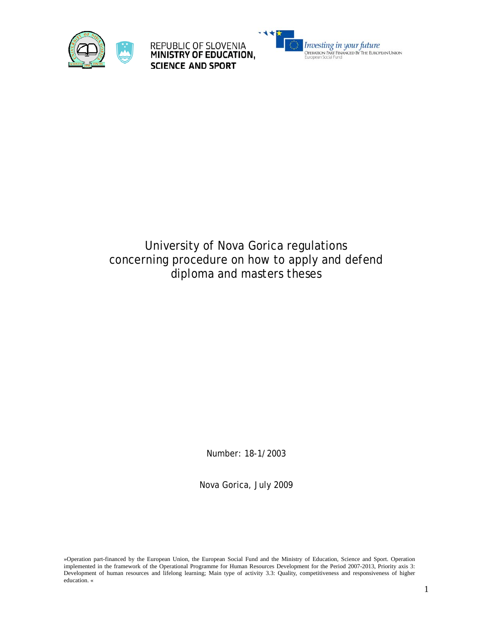

REPUBLIC OF SLOVENIA<br>MINISTRY OF EDUCATION, **SCIENCE AND SPORT** 



# University of Nova Gorica regulations concerning procedure on how to apply and defend diploma and masters theses

Number: 18-1/2003

Nova Gorica, July 2009

»Operation part-financed by the European Union, the European Social Fund and the Ministry of Education, Science and Sport. Operation implemented in the framework of the Operational Programme for Human Resources Development for the Period 2007-2013, Priority axis 3: Development of human resources and lifelong learning; Main type of activity 3.3: Quality, competitiveness and responsiveness of higher education. «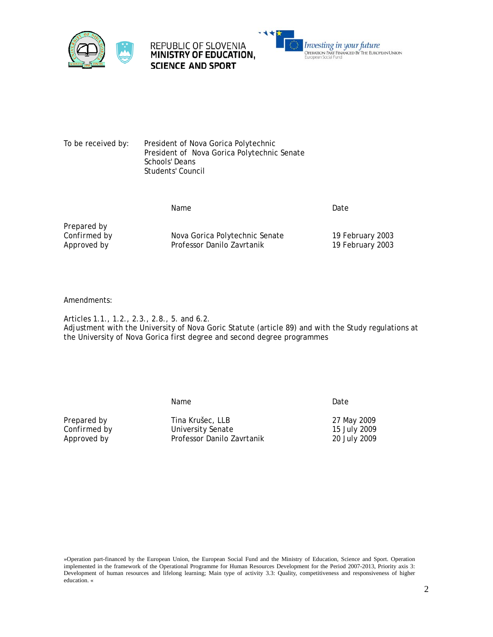





To be received by: President of Nova Gorica Polytechnic President of Nova Gorica Polytechnic Senate Schools' Deans Students' Council

Name Date

*Prepared by*

*Confirmed by* Nova Gorica Polytechnic Senate 19 February 2003 Approved by **Professor Danilo Zavrtanik** 19 February 2003

Amendments:

Articles 1.1., 1.2., 2.3., 2.8., 5. and 6.2. Adjustment with the University of Nova Goric Statute (article 89) and with the Study regulations at the University of Nova Gorica first degree and second degree programmes

name and the Date of the Date of the Date of the Date of the Date of the Date of the Date of the Date of the D

*Prepared by* Tina Krušec, LLB 27 May 2009 **Confirmed by Confirmed by Confirmed by Confirmed by Confirmed by Confirmed by Confirmed By Confirmed By Confirmed By Confirmed By Confirmed By Confirmed By Confirmed By Confirmed By Confirmed By Confirmed By Confirmed By** Approved by **Professor Danilo Zavrtanik** 20 July 2009

»Operation part-financed by the European Union, the European Social Fund and the Ministry of Education, Science and Sport. Operation implemented in the framework of the Operational Programme for Human Resources Development for the Period 2007-2013, Priority axis 3: Development of human resources and lifelong learning; Main type of activity 3.3: Quality, competitiveness and responsiveness of higher education. «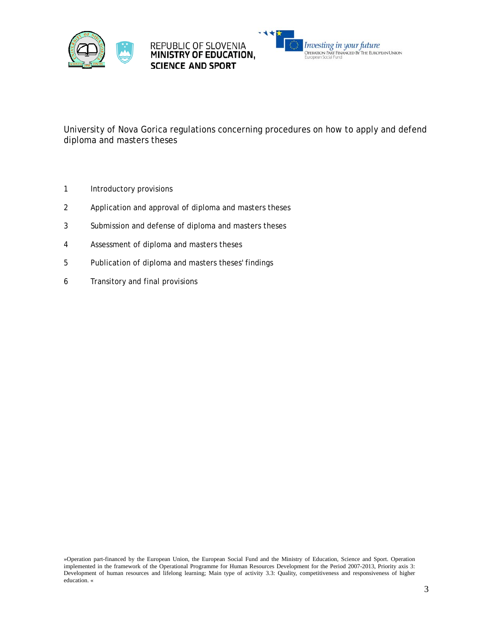



University of Nova Gorica regulations concerning procedures on how to apply and defend diploma and masters theses

- 1 Introductory provisions
- 2 Application and approval of diploma and masters theses
- 3 Submission and defense of diploma and masters theses
- 4 Assessment of diploma and masters theses
- 5 Publication of diploma and masters theses' findings
- 6 Transitory and final provisions

<sup>»</sup>Operation part-financed by the European Union, the European Social Fund and the Ministry of Education, Science and Sport. Operation implemented in the framework of the Operational Programme for Human Resources Development for the Period 2007-2013, Priority axis 3: Development of human resources and lifelong learning; Main type of activity 3.3: Quality, competitiveness and responsiveness of higher education. «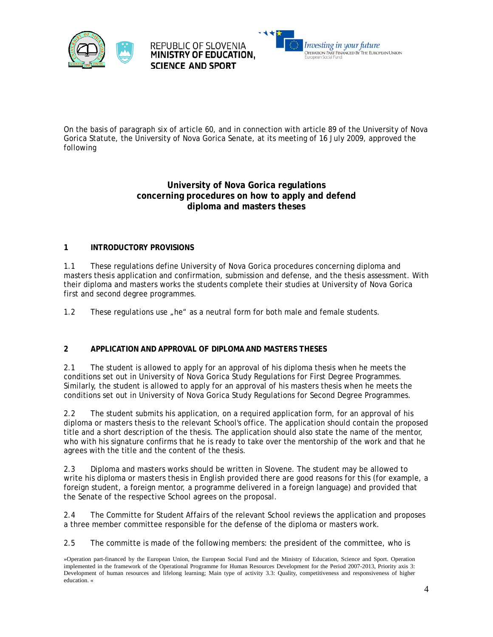





On the basis of paragraph six of article 60, and in connection with article 89 of the University of Nova Gorica Statute, the University of Nova Gorica Senate, at its meeting of 16 July 2009, approved the following

### **University of Nova Gorica regulations concerning procedures on how to apply and defend diploma and masters theses**

#### **1 INTRODUCTORY PROVISIONS**

1.1 These regulations define University of Nova Gorica procedures concerning diploma and masters thesis application and confirmation, submission and defense, and the thesis assessment. With their diploma and masters works the students complete their studies at University of Nova Gorica first and second degree programmes.

1.2 These regulations use "he" as a neutral form for both male and female students.

#### **2 APPLICATION AND APPROVAL OF DIPLOMA AND MASTERS THESES**

2.1 The student is allowed to apply for an approval of his diploma thesis when he meets the conditions set out in University of Nova Gorica Study Regulations for First Degree Programmes. Similarly, the student is allowed to apply for an approval of his masters thesis when he meets the conditions set out in University of Nova Gorica Study Regulations for Second Degree Programmes.

2.2 The student submits his application, on a required application form, for an approval of his diploma or masters thesis to the relevant School's office. The application should contain the proposed title and a short description of the thesis. The application should also state the name of the mentor, who with his signature confirms that he is ready to take over the mentorship of the work and that he agrees with the title and the content of the thesis.

2.3 Diploma and masters works should be written in Slovene. The student may be allowed to write his diploma or masters thesis in English provided there are good reasons for this (for example, a foreign student, a foreign mentor, a programme delivered in a foreign language) and provided that the Senate of the respective School agrees on the proposal.

2.4 The Committe for Student Affairs of the relevant School reviews the application and proposes a three member committee responsible for the defense of the diploma or masters work.

2.5 The committe is made of the following members: the president of the committee, who is

<sup>»</sup>Operation part-financed by the European Union, the European Social Fund and the Ministry of Education, Science and Sport. Operation implemented in the framework of the Operational Programme for Human Resources Development for the Period 2007-2013, Priority axis 3: Development of human resources and lifelong learning; Main type of activity 3.3: Quality, competitiveness and responsiveness of higher education. «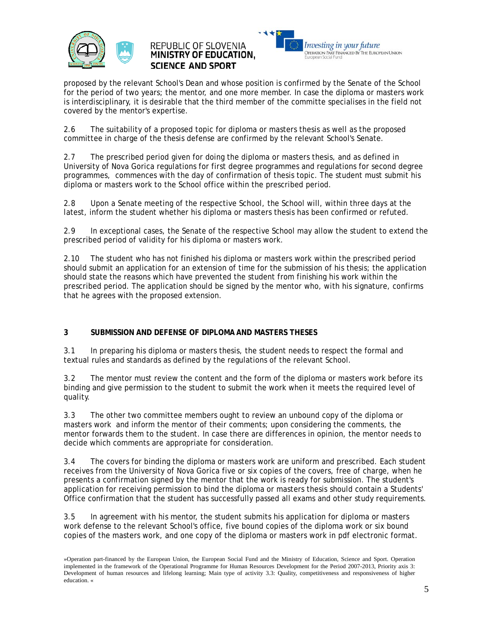

## REPUBLIC OF SLOVENIA **MINISTRY OF EDUCATION. SCIENCE AND SPORT**



proposed by the relevant School's Dean and whose position is confirmed by the Senate of the School for the period of two years; the mentor, and one more member. In case the diploma or masters work is interdisciplinary, it is desirable that the third member of the committe specialises in the field not covered by the mentor's expertise.

2.6 The suitability of a proposed topic for diploma or masters thesis as well as the proposed committee in charge of the thesis defense are confirmed by the relevant School's Senate.

2.7 The prescribed period given for doing the diploma or masters thesis, and as defined in University of Nova Gorica regulations for first degree programmes and regulations for second degree programmes, commences with the day of confirmation of thesis topic. The student must submit his diploma or masters work to the School office within the prescribed period.

2.8 Upon a Senate meeting of the respective School, the School will, within three days at the latest, inform the student whether his diploma or masters thesis has been confirmed or refuted.

2.9 In exceptional cases, the Senate of the respective School may allow the student to extend the prescribed period of validity for his diploma or masters work.

2.10 The student who has not finished his diploma or masters work within the prescribed period should submit an application for an extension of time for the submission of his thesis; the application should state the reasons which have prevented the student from finishing his work within the prescribed period. The application should be signed by the mentor who, with his signature, confirms that he agrees with the proposed extension.

#### **3 SUBMISSION AND DEFENSE OF DIPLOMA AND MASTERS THESES**

3.1 In preparing his diploma or masters thesis, the student needs to respect the formal and textual rules and standards as defined by the regulations of the relevant School.

3.2 The mentor must review the content and the form of the diploma or masters work before its binding and give permission to the student to submit the work when it meets the required level of quality.

3.3 The other two committee members ought to review an unbound copy of the diploma or masters work and inform the mentor of their comments; upon considering the comments, the mentor forwards them to the student. In case there are differences in opinion, the mentor needs to decide which comments are appropriate for consideration.

3.4 The covers for binding the diploma or masters work are uniform and prescribed. Each student receives from the University of Nova Gorica five or six copies of the covers, free of charge, when he presents a confirmation signed by the mentor that the work is ready for submission. The student's application for receiving permission to bind the diploma or masters thesis should contain a Students' Office confirmation that the student has successfully passed all exams and other study requirements.

3.5 In agreement with his mentor, the student submits his application for diploma or masters work defense to the relevant School's office, five bound copies of the diploma work or six bound copies of the masters work, and one copy of the diploma or masters work in pdf electronic format.

<sup>»</sup>Operation part-financed by the European Union, the European Social Fund and the Ministry of Education, Science and Sport. Operation implemented in the framework of the Operational Programme for Human Resources Development for the Period 2007-2013, Priority axis 3: Development of human resources and lifelong learning; Main type of activity 3.3: Quality, competitiveness and responsiveness of higher education. «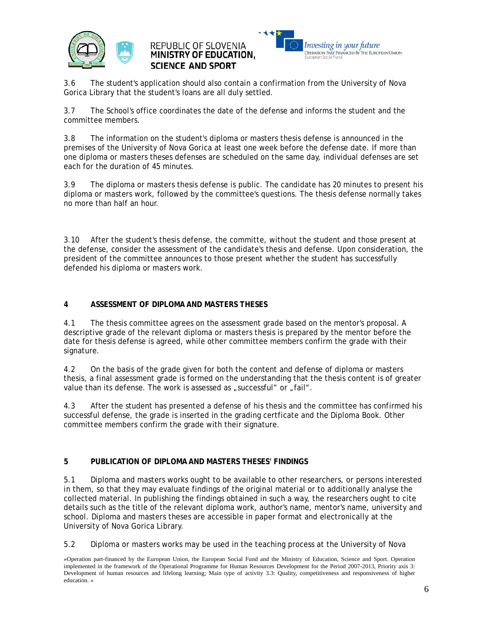





3.6 The student's application should also contain a confirmation from the University of Nova Gorica Library that the student's loans are all duly settled.

3.7 The School's office coordinates the date of the defense and informs the student and the committee members.

3.8 The information on the student's diploma or masters thesis defense is announced in the premises of the University of Nova Gorica at least one week before the defense date. If more than one diploma or masters theses defenses are scheduled on the same day, individual defenses are set each for the duration of 45 minutes.

3.9 The diploma or masters thesis defense is public. The candidate has 20 minutes to present his diploma or masters work, followed by the committee's questions. The thesis defense normally takes no more than half an hour.

3.10 After the student's thesis defense, the committe, without the student and those present at the defense, consider the assessment of the candidate's thesis and defense. Upon consideration, the president of the committee announces to those present whether the student has successfully defended his diploma or masters work.

#### **4 ASSESSMENT OF DIPLOMA AND MASTERS THESES**

4.1 The thesis committee agrees on the assessment grade based on the mentor's proposal. A descriptive grade of the relevant diploma or masters thesis is prepared by the mentor before the date for thesis defense is agreed, while other committee members confirm the grade with their signature.

4.2 On the basis of the grade given for both the content and defense of diploma or masters thesis, a final assessment grade is formed on the understanding that the thesis content is of greater value than its defense. The work is assessed as "successful" or "fail".

4.3 After the student has presented a defense of his thesis and the committee has confirmed his successful defense, the grade is inserted in the grading certficate and the Diploma Book. Other committee members confirm the grade with their signature.

#### **5 PUBLICATION OF DIPLOMA AND MASTERS THESES' FINDINGS**

5.1 Diploma and masters works ought to be available to other researchers, or persons interested in them, so that they may evaluate findings of the original material or to additionally analyse the collected material. In publishing the findings obtained in such a way, the researchers ought to cite details such as the title of the relevant diploma work, author's name, mentor's name, university and school. Diploma and masters theses are accessible in paper format and electronically at the University of Nova Gorica Library.

5.2 Diploma or masters works may be used in the teaching process at the University of Nova

<sup>»</sup>Operation part-financed by the European Union, the European Social Fund and the Ministry of Education, Science and Sport. Operation implemented in the framework of the Operational Programme for Human Resources Development for the Period 2007-2013, Priority axis 3: Development of human resources and lifelong learning; Main type of activity 3.3: Quality, competitiveness and responsiveness of higher education. «